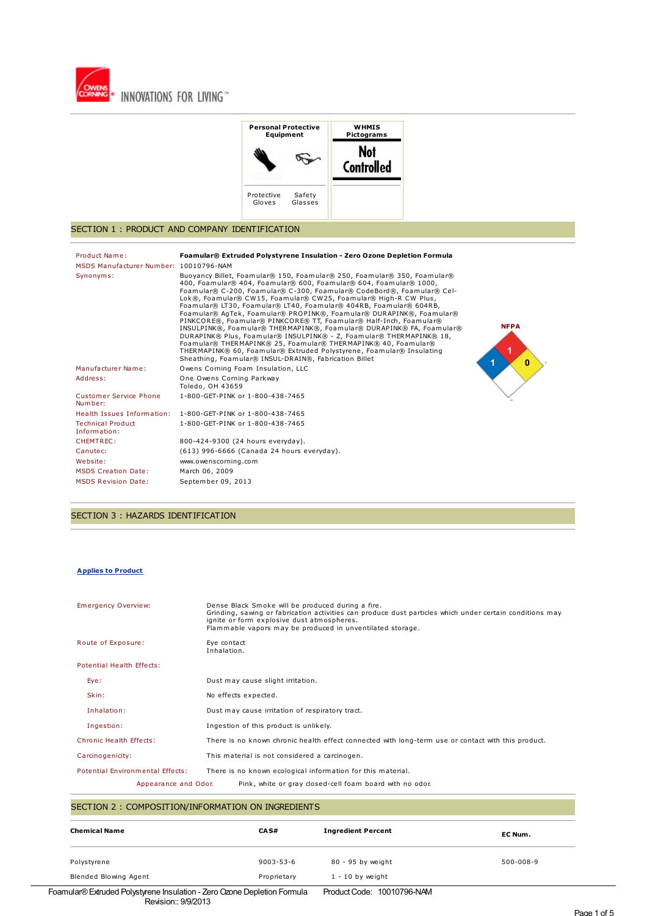



### SECTION 1 : PRODUCT AND COMPANY IDENTIFICATION

| Product Name:                            | Foamular® Extruded Polystyrene Insulation - Zero Ozone Depletion Formula                                                                                                                                                                                                                                                                                                                                                                                                                                                                                                                                                                                                                                                                                                                                                                                                              |
|------------------------------------------|---------------------------------------------------------------------------------------------------------------------------------------------------------------------------------------------------------------------------------------------------------------------------------------------------------------------------------------------------------------------------------------------------------------------------------------------------------------------------------------------------------------------------------------------------------------------------------------------------------------------------------------------------------------------------------------------------------------------------------------------------------------------------------------------------------------------------------------------------------------------------------------|
| MSDS Manufacturer Number: 10010796-NAM   |                                                                                                                                                                                                                                                                                                                                                                                                                                                                                                                                                                                                                                                                                                                                                                                                                                                                                       |
| Synonyms:                                | Buoyancy Billet, Foamular® 150, Foamular® 250, Foamular® 350, Foamular®<br>400, Foamular® 404, Foamular® 600, Foamular® 604, Foamular® 1000,<br>Foamular® C-200, Foamular® C-300, Foamular® CodeBord®, Foamular® Cel-<br>Lok®, Foamular® CW15, Foamular® CW25, Foamular® High-R CW Plus,<br>Foamular® LT30, Foamular® LT40, Foamular® 404RB, Foamular® 604RB,<br>Foamular® AqTek, Foamular® PROPINK®, Foamular® DURAPINK®, Foamular®<br>PINKCORE®, Foamular® PINKCORE® TT, Foamular® Half-Inch, Foamular®<br><b>NFPA</b><br>INSULPINK®, Foamular® THERMAPINK®, Foamular® DURAPINK® FA, Foamular®<br>DURAPINK® Plus, Foamular® INSULPINK® - Z, Foamular® THERMAPINK® 18,<br>Foamular® THERMAPINK® 25, Foamular® THERMAPINK® 40, Foamular®<br>THERMAPINK® 60, Foamular® Extruded Polystyrene, Foamular® Insulating<br>Sheathing, Foamular® INSUL-DRAIN®, Fabrication Billet<br>$\bf{0}$ |
| Manufacturer Name:                       | Owens Corning Foam Insulation, LLC                                                                                                                                                                                                                                                                                                                                                                                                                                                                                                                                                                                                                                                                                                                                                                                                                                                    |
| Address:                                 | One Owens Corning Parkway<br>Toledo, OH 43659                                                                                                                                                                                                                                                                                                                                                                                                                                                                                                                                                                                                                                                                                                                                                                                                                                         |
| Customer Service Phone<br>Number:        | 1-800-GET-PINK or 1-800-438-7465                                                                                                                                                                                                                                                                                                                                                                                                                                                                                                                                                                                                                                                                                                                                                                                                                                                      |
|                                          | Health Issues Information: 1-800-GET-PINK or 1-800-438-7465                                                                                                                                                                                                                                                                                                                                                                                                                                                                                                                                                                                                                                                                                                                                                                                                                           |
| <b>Technical Product</b><br>Information: | 1-800-GET-PINK or 1-800-438-7465                                                                                                                                                                                                                                                                                                                                                                                                                                                                                                                                                                                                                                                                                                                                                                                                                                                      |
| CHEMTREC:                                | 800-424-9300 (24 hours everyday).                                                                                                                                                                                                                                                                                                                                                                                                                                                                                                                                                                                                                                                                                                                                                                                                                                                     |
| Canutec:                                 | (613) 996-6666 (Canada 24 hours everyday).                                                                                                                                                                                                                                                                                                                                                                                                                                                                                                                                                                                                                                                                                                                                                                                                                                            |
| Website:                                 | www.owenscorning.com                                                                                                                                                                                                                                                                                                                                                                                                                                                                                                                                                                                                                                                                                                                                                                                                                                                                  |
| <b>MSDS Creation Date:</b>               | March 06, 2009                                                                                                                                                                                                                                                                                                                                                                                                                                                                                                                                                                                                                                                                                                                                                                                                                                                                        |
| <b>MSDS Revision Date:</b>               | September 09, 2013                                                                                                                                                                                                                                                                                                                                                                                                                                                                                                                                                                                                                                                                                                                                                                                                                                                                    |

### SECTION 3 : HAZARDS IDENTIFICATION

### **Applies to Product**

| <b>Emergency Overview:</b>       | Dense Black Smoke will be produced during a fire.<br>Grinding, sawing or fabrication activities can produce dust particles which under certain conditions may<br>ignite or form explosive dust atmospheres.<br>Flammable vapors may be produced in unventilated storage. |  |
|----------------------------------|--------------------------------------------------------------------------------------------------------------------------------------------------------------------------------------------------------------------------------------------------------------------------|--|
| Route of Exposure:               | Eye contact<br>Inhalation.                                                                                                                                                                                                                                               |  |
| Potential Health Effects:        |                                                                                                                                                                                                                                                                          |  |
| Eye:                             | Dust may cause slight irritation.                                                                                                                                                                                                                                        |  |
| Skin:                            | No effects expected.                                                                                                                                                                                                                                                     |  |
| Inhalation:                      | Dust may cause irritation of respiratory tract.                                                                                                                                                                                                                          |  |
| Ingestion:                       | Ingestion of this product is unlikely.                                                                                                                                                                                                                                   |  |
| Chronic Health Effects:          | There is no known chronic health effect connected with long-term use or contact with this product.                                                                                                                                                                       |  |
| Carcinogenicity:                 | This material is not considered a carcinogen.                                                                                                                                                                                                                            |  |
| Potential Environmental Effects: | There is no known ecological information for this material.                                                                                                                                                                                                              |  |
| Appearance and Odor.             | Pink, white or gray closed-cell foam board with no odor.                                                                                                                                                                                                                 |  |

## SECTION 2 : COMPOSITION/INFORMATION ON INGREDIENTS

| <b>Chemical Name</b>  | CAS#            | <b>Ingredient Percent</b> | EC Num.         |
|-----------------------|-----------------|---------------------------|-----------------|
| Polystyrene           | $9003 - 53 - 6$ | 80 - 95 by weight         | $500 - 008 - 9$ |
| Blended Blowing Agent | Proprietary     | $1 - 10$ by weight        |                 |

Foamular® Extruded Polystyrene Insulation - Zero Ozone Depletion Formula Product Code: 10010796-NAM

Revision:: 9/9/2013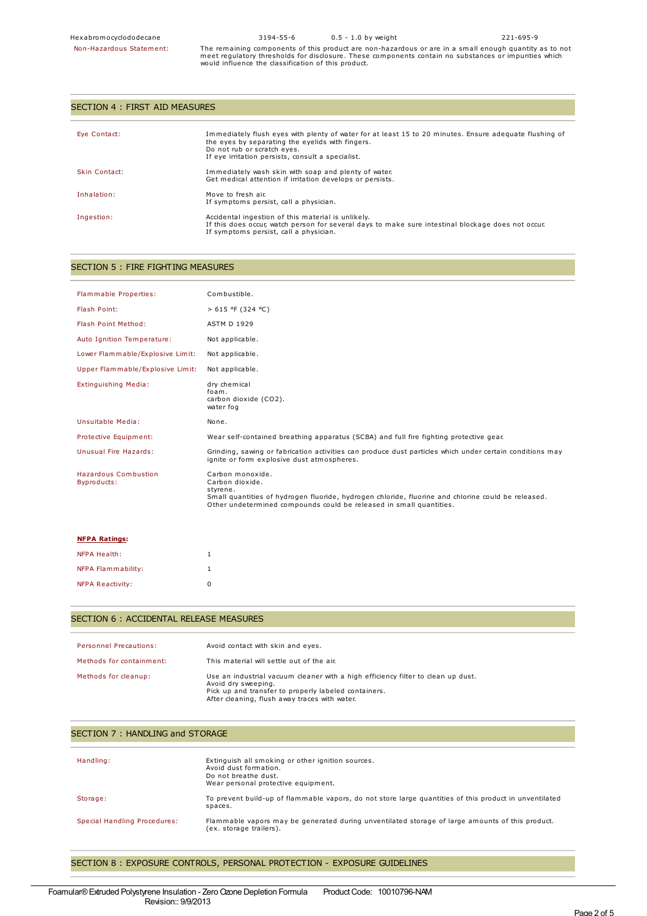SECTION 4 : FIRST AID MEASURES

Non-Hazardous Statement: The remaining components of this product are non-hazardous or are in <sup>a</sup> small enough quantity as to not meet regulatory thresholds for disclosure. These components contain no substances or impurities which would influence the classification of this product.

| Eye Contact:  | Immediately flush eyes with plenty of water for at least 15 to 20 minutes. Ensure adequate flushing of<br>the eyes by separating the eyelids with fingers.<br>Do not rub or scratch eves.<br>If eye irritation persists, consult a specialist. |  |  |
|---------------|------------------------------------------------------------------------------------------------------------------------------------------------------------------------------------------------------------------------------------------------|--|--|
| Skin Contact: | Immediately wash skin with soap and plenty of water.<br>Get medical attention if irritation develops or persists.                                                                                                                              |  |  |
| Inhalation:   | Move to fresh air.<br>If symptoms persist, call a physician.                                                                                                                                                                                   |  |  |
| Ingestion:    | Accidental ingestion of this material is unlikely.<br>If this does occur, watch person for several days to make sure intestinal blockage does not occur.<br>If symptoms persist, call a physician.                                             |  |  |

### SECTION 5 : FIRE FIGHTING MEASURES

| Flammable Properties:                      | Combustible.                                                                                                                                                                                                                 |
|--------------------------------------------|------------------------------------------------------------------------------------------------------------------------------------------------------------------------------------------------------------------------------|
| Flash Point:                               | $> 615$ °F (324 °C)                                                                                                                                                                                                          |
| Flash Point Method:                        | <b>ASTM D 1929</b>                                                                                                                                                                                                           |
| Auto Ignition Temperature:                 | Not applicable.                                                                                                                                                                                                              |
| Lower Flammable/Explosive Limit:           | Not applicable.                                                                                                                                                                                                              |
| Upper Flammable/Explosive Limit:           | Not applicable.                                                                                                                                                                                                              |
| <b>Extinguishing Media:</b>                | dry chemical<br>foam.<br>carbon dioxide (CO2).<br>water fog                                                                                                                                                                  |
| Unsuitable Media:                          | None.                                                                                                                                                                                                                        |
| Protective Equipment:                      | Wear self-contained breathing apparatus (SCBA) and full fire fighting protective gear.                                                                                                                                       |
| Unusual Fire Hazards:                      | Grinding, sawing or fabrication activities can produce dust particles which under certain conditions may<br>ignite or form explosive dust atmospheres.                                                                       |
| <b>Hazardous Combustion</b><br>Byproducts: | Carbon monoxide.<br>Carbon dioxide.<br>styrene.<br>Small quantities of hydrogen fluoride, hydrogen chloride, fluorine and chlorine could be released.<br>Other undetermined compounds could be released in small quantities. |

#### **NFPA Ratings:**

| NFPA Health:       |   |
|--------------------|---|
| NFPA Flammability: |   |
| NFPA Reactivity:   | n |

### SECTION 6 : ACCIDENTAL RELEASE MEASURES

| <b>Personnel Precautions:</b> | Avoid contact with skin and eves.                                                                                                                                                                                |
|-------------------------------|------------------------------------------------------------------------------------------------------------------------------------------------------------------------------------------------------------------|
| Methods for containment:      | This material will settle out of the air.                                                                                                                                                                        |
| Methods for cleanup:          | Use an industrial vacuum cleaner with a high efficiency filter to clean up dust.<br>Avoid dry sweeping.<br>Pick up and transfer to properly labeled containers.<br>After cleaning, flush away traces with water. |

## SECTION 7 : HANDLING and STORAGE

| Handling:                    | Extinguish all smoking or other ignition sources.<br>Avoid dust formation.<br>Do not breathe dust.<br>Wear personal protective equipment. |
|------------------------------|-------------------------------------------------------------------------------------------------------------------------------------------|
| Storage:                     | To prevent build-up of flammable vapors, do not store large quantities of this product in unventilated<br>spaces.                         |
| Special Handling Procedures: | Flammable vapors may be generated during unventilated storage of large amounts of this product.<br>(ex. storage trailers).                |

## SECTION 8 : EXPOSURE CONTROLS, PERSONAL PROTECTION - EXPOSURE GUIDELINES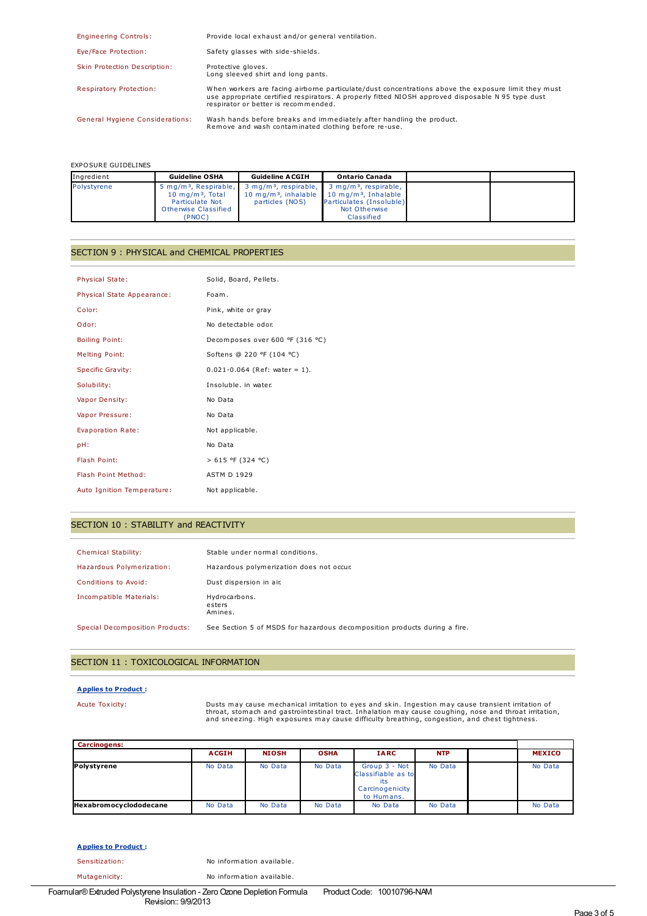| <b>Engineering Controls:</b>           | Provide local exhaust and/or general ventilation.                                                                                                                                                                                                |
|----------------------------------------|--------------------------------------------------------------------------------------------------------------------------------------------------------------------------------------------------------------------------------------------------|
| Eye/Face Protection:                   | Safety glasses with side-shields.                                                                                                                                                                                                                |
| Skin Protection Description:           | Protective gloves.<br>Long sleeved shirt and long pants.                                                                                                                                                                                         |
| <b>Respiratory Protection:</b>         | When workers are facing airborne particulate/dust concentrations above the exposure limit they must<br>use appropriate certified respirators. A properly fitted NIOSH approved disposable N 95 type dust<br>respirator or better is recommended. |
| <b>General Hygiene Considerations:</b> | Wash hands before breaks and immediately after handling the product.<br>Remove and wash contaminated clothing before re-use.                                                                                                                     |

#### EXPOSURE GUIDELINES

| Ingredient  | <b>Guideline OSHA</b>                                                  | <b>Guideline ACGIH</b> | <b>Ontario Canada</b>                                                                                                                                                                                                 |  |
|-------------|------------------------------------------------------------------------|------------------------|-----------------------------------------------------------------------------------------------------------------------------------------------------------------------------------------------------------------------|--|
| Polystyrene | $10 \text{ ma/m}^3$ . Total<br>Particulate Not<br>Otherwise Classified | particles (NOS)        | 5 mg/m <sup>3</sup> , Respirable, 3 mg/m <sup>3</sup> , respirable, 3 mg/m <sup>3</sup> , respirable,<br>$10 \text{ ma/m}^3$ , inhalable $10 \text{ ma/m}^3$ , Inhalable<br>Particulates (Insoluble)<br>Not Otherwise |  |
|             | (PNOC)                                                                 |                        | Classified                                                                                                                                                                                                            |  |

## SECTION 9 : PHYSICAL and CHEMICAL PROPERTIES

| <b>Physical State:</b>     | Solid, Board, Pellets.            |
|----------------------------|-----------------------------------|
| Physical State Appearance: | Foam.                             |
| Color:                     | Pink, white or gray               |
| Odor:                      | No detectable odor.               |
| <b>Boiling Point:</b>      | Decomposes over 600 °F (316 °C)   |
| <b>Melting Point:</b>      | Softens @ 220 °F (104 °C)         |
| <b>Specific Gravity:</b>   | $0.021 - 0.064$ (Ref: water = 1). |
| Solubility:                | Insoluble, in water.              |
| Vapor Density:             | No Data                           |
| Vapor Pressure:            | No Data                           |
| Evaporation Rate:          | Not applicable.                   |
| pH:                        | No Data                           |
| Flash Point:               | $> 615$ °F (324 °C)               |
| Flash Point Method:        | <b>ASTM D 1929</b>                |
| Auto Ignition Temperature: | Not applicable.                   |

#### SECTION 10 : STABILITY and REACTIVITY

| Chemical Stability:             | Stable under normal conditions.                                           |
|---------------------------------|---------------------------------------------------------------------------|
| Hazardous Polymerization:       | Hazardous polymerization does not occur.                                  |
| Conditions to Avoid:            | Dust dispersion in air.                                                   |
| Incompatible Materials:         | Hydrocarbons.<br>esters<br>Amines.                                        |
| Special Decomposition Products: | See Section 5 of MSDS for hazardous decomposition products during a fire. |

### SECTION 11 : TOXICOLOGICAL INFORMATION

#### **Applies to Product :**

Acute Toxicity: Dusts may cause mechanical irritation to eyes and skin. Ingestion may cause transient irritation of throat, stomach and gastrointestinal tract. Inhalation may cause coughing, nose and throat irritation, and sneezing. High exposures may cause difficulty breathing, congestion, and chest tightness.

| <b>Carcinogens:</b>    |              |              |             |                                                                             |            |               |
|------------------------|--------------|--------------|-------------|-----------------------------------------------------------------------------|------------|---------------|
|                        | <b>ACGIH</b> | <b>NIOSH</b> | <b>OSHA</b> | <b>IARC</b>                                                                 | <b>NTP</b> | <b>MEXICO</b> |
| Polystyrene            | No Data      | No Data      | No Data     | Group 3 - Not<br>Classifiable as to<br>its<br>Carcinogenicity<br>to Humans. | No Data    | No Data       |
| Hexabromocyclododecane | No Data      | No Data      | No Data     | No Data                                                                     | No Data    | No Data       |

#### **Applies to Product :**

| Sensitization: | No information available. |
|----------------|---------------------------|
| Mutagenicity:  | No information available. |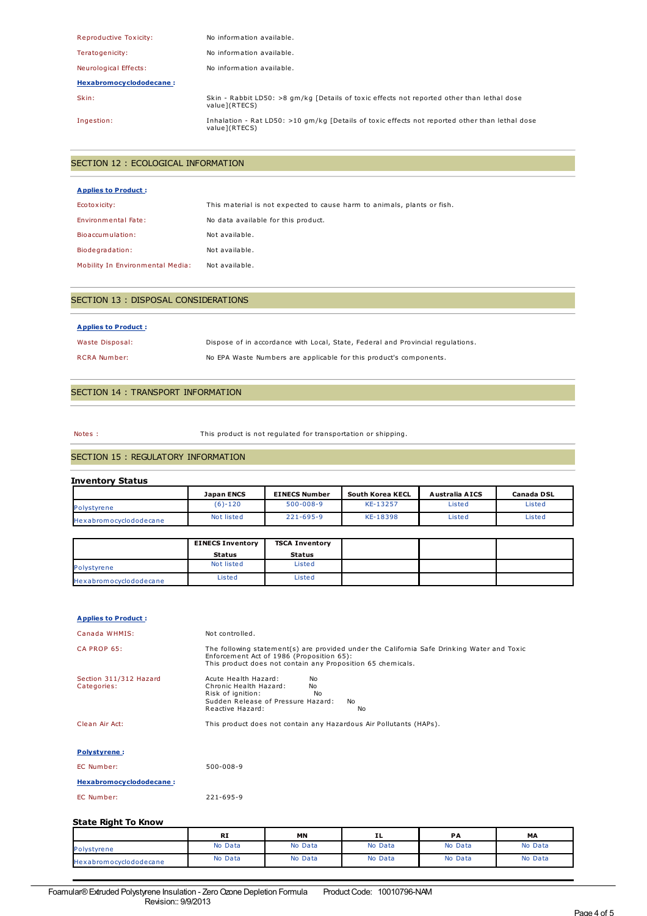| Reproductive Toxicity:  | No information available.                                                                                       |
|-------------------------|-----------------------------------------------------------------------------------------------------------------|
| Teratogenicity:         | No information available.                                                                                       |
| Neurological Effects:   | No information available.                                                                                       |
| Hexabromocyclododecane: |                                                                                                                 |
| Skin:                   | Skin - Rabbit LD50: >8 gm/kg [Details of toxic effects not reported other than lethal dose<br>value1(RTECS)     |
| Ingestion:              | Inhalation - Rat LD50: >10 qm/kq [Details of toxic effects not reported other than lethal dose<br>value](RTECS) |

# SECTION 12 : ECOLOGICAL INFORMATION

| <b>Applies to Product:</b>       |                                                                         |
|----------------------------------|-------------------------------------------------------------------------|
| Ecotoxicity:                     | This material is not expected to cause harm to animals, plants or fish. |
| Environmental Fate:              | No data available for this product.                                     |
| Bioaccumulation:                 | Not available.                                                          |
| Biodegradation:                  | Not available.                                                          |
| Mobility In Environmental Media: | Not available.                                                          |

## SECTION 13 : DISPOSAL CONSIDERATIONS

#### **Applies to Product :**

| Waste Disposal: | Dispose of in accordance with Local, State, Federal and Provincial regulations. |
|-----------------|---------------------------------------------------------------------------------|
| RCRA Number:    | No EPA Waste Numbers are applicable for this product's components.              |

## SECTION 14 : TRANSPORT INFORMATION

Notes : This product is not regulated for transportation or shipping.

## SECTION 15 : REGULATORY INFORMATION

### **Inventory Status**

|                        | Japan ENCS | <b>EINECS Number</b> | South Korea KECL | Australia AICS | Canada DSL |
|------------------------|------------|----------------------|------------------|----------------|------------|
| Polystyrene            | $(6)-120$  | $500 - 008 - 9$      | KE-13257         | Listed         | Listed     |
| Hexabromocyclododecane | Not listed | $221 - 695 - 9$      | KE-18398         | Listed         | Listed     |

|                        | <b>EINECS Inventory</b> | <b>TSCA Inventory</b> |  |  |
|------------------------|-------------------------|-----------------------|--|--|
|                        | Status                  | <b>Status</b>         |  |  |
| Polystyrene            | Not listed              | Listed                |  |  |
| Hexabromocyclododecane | Listed                  | Listed                |  |  |

#### **Applies to Product :**

| Not controlled.                                                                                                                                                                                        |
|--------------------------------------------------------------------------------------------------------------------------------------------------------------------------------------------------------|
| The following statement(s) are provided under the California Safe Drinking Water and Toxic<br>Enforcement Act of 1986 (Proposition 65):<br>This product does not contain any Proposition 65 chemicals. |
| Acute Health Hazard:<br>No<br>Chronic Health Hazard:<br>No<br>Risk of ignition:<br>No<br>Sudden Release of Pressure Hazard:<br>No.<br>Reactive Hazard:<br>No                                           |
| This product does not contain any Hazardous Air Pollutants (HAPs).                                                                                                                                     |
|                                                                                                                                                                                                        |
| $500 - 008 - 9$                                                                                                                                                                                        |
|                                                                                                                                                                                                        |
| 221-695-9                                                                                                                                                                                              |
|                                                                                                                                                                                                        |

# **State Right To Know**

|                        | <b>RI</b> | MN      | ΙL      | PА      | MA      |
|------------------------|-----------|---------|---------|---------|---------|
| Polystyrene            | No Data   | No Data | No Data | No Data | No Data |
| Hexabromocyclododecane | No Data   | No Data | No Data | No Data | No Data |